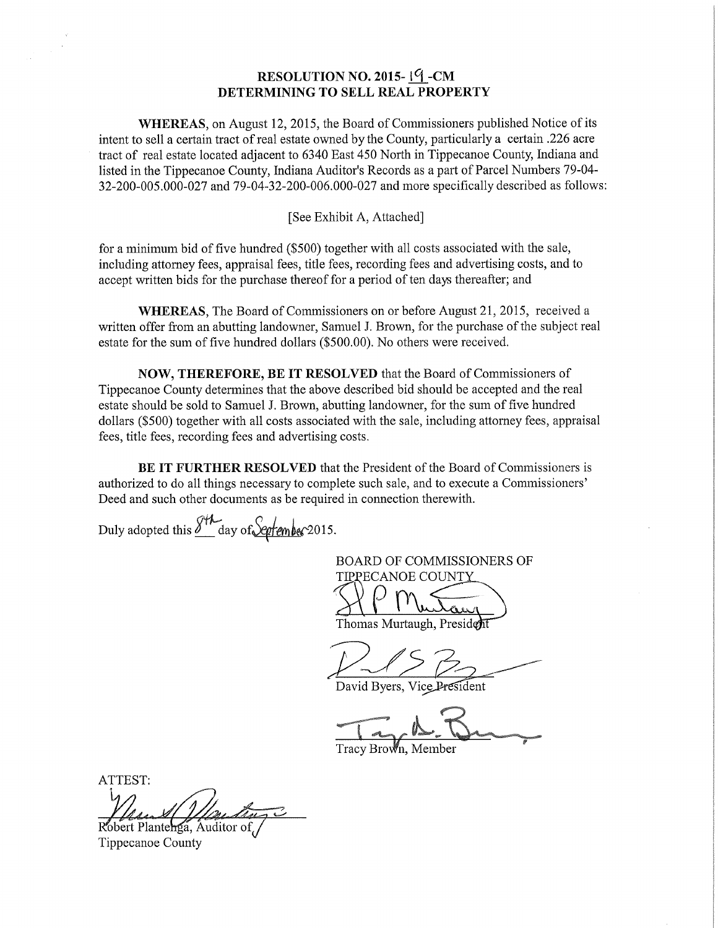## RESOLUTION NO. 2015- $1\frac{6}{1}$ -CM DETERMINING TO SELL REAL PROPERTY

WHEREAS, on August 12, 2015, the Board of Commissioners published Notice of its intent to sell <sup>a</sup> certain tract ofreal estate owned by the County, particularly <sup>a</sup> certain .226 acre tract of real estate located adjacent to <sup>6340</sup> East <sup>450</sup> North in Tippecanoe County, Indiana and listed in the Tippecanoe County, Indiana Auditor's Records as a part of Parcel Numbers 79-04-32-200-005.000-027 and 79-04-32-200-006.000-027 and more specifically described as follows:

## [See Exhibit A, Attached]

for <sup>a</sup> minimum bid of five hundred (\$500) together with all costs associated with the sale, including attorney fees, appraisal fees, title fees, recording fees and advertising costs, and to accept written bids for the purchase thereof for a period of ten days thereafter; and

WHEREAS, The Board of Commissioners on or before August 21, 2015, received <sup>a</sup> written Offer from an abutting landowner, Samuel J. Brown, for the purchase of the subject real estate for the sum of five hundred dollars (\$500.00). No others were received.

NOW, THEREFORE, BE IT RESOLVED that the Board of Commissioners of Tippecanoe County determines that the above described bid should be accepted and the real estate should be sold to Samuel J. Brown, abutting landowner, for the sum of five hundred dollars (\$500) together with all costs associated with the sale, including attorney fees, appraisal fees, title fees, recording fees and advertising costs.

BE IT FURTHER RESOLVED that the President of the Board of Commissioners is authorized to do all things necessary to complete such sale, and to execute a Commissioners' Deed and such other documents as be required in connection therewith.

Duly adopted this  $\frac{\partial^{44}f}{\partial x^{4}}$  day of September 2015.

BOARD OF COMMISSIONERS OF TIPPECANOE COUNTY .\_ , ti

Thomas Murtaugh, President

David Byers, Vice President

**WELL-ASSED** Tracy Brown, Member

ATTEST: Robert Planterga, Auditor of

Tippecanoe County